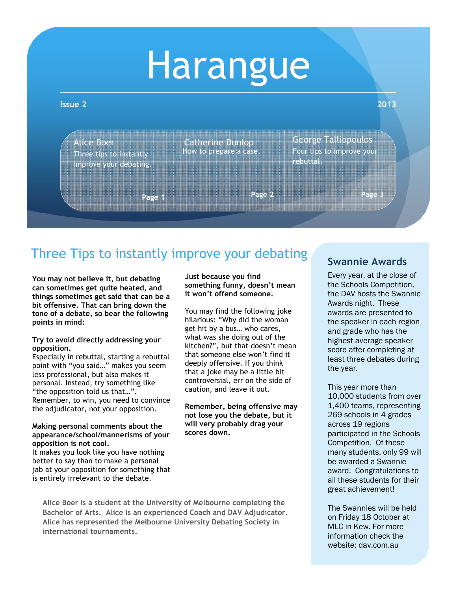# Harangue

#### **Issue 2 2013**

Alice Boer Three tips to instantly improve your debating. How to prepare a case. Catherine Dunlop

**Page 2**

George Talliopoulos Four tips to improve your rebuttal.

**Page 3**

## Three Tips to instantly improve your debating

**Page 1**

**You may not believe it, but debating can sometimes get quite heated, and things sometimes get said that can be a bit offensive. That can bring down the tone of a debate, so bear the following points in mind:** 

### **Try to avoid directly addressing your opposition.**

Especially in rebuttal, starting a rebuttal point with "you said…" makes you seem less professional, but also makes it personal. Instead, try something like "the opposition told us that…". Remember, to win, you need to convince the adjudicator, not your opposition.

#### **Making personal comments about the appearance/school/mannerisms of your opposition is not cool.**

It makes you look like you have nothing better to say than to make a personal jab at your opposition for something that is entirely irrelevant to the debate.

**Just because you find something funny, doesn't mean it won't offend someone.** 

You may find the following joke hilarious: "Why did the woman get hit by a bus… who cares, what was she doing out of the kitchen?", but that doesn't mean that someone else won't find it deeply offensive. If you think that a joke may be a little bit controversial, err on the side of caution, and leave it out.

**Remember, being offensive may not lose you the debate, but it will very probably drag your scores down.**

**Alice Boer is a student at the University of Melbourne completing the Bachelor of Arts. Alice is an experienced Coach and DAV Adjudicator. Alice has represented the Melbourne University Debating Society in international tournaments.** 

## **Swannie Awards**

Every year, at the close of the Schools Competition, the DAV hosts the Swannie Awards night. These awards are presented to the speaker in each region and grade who has the highest average speaker score after completing at least three debates during the year.

This year more than 10,000 students from over 1,400 teams, representing 269 schools in 4 grades across 19 regions participated in the Schools Competition. Of these many students, only 99 will be awarded a Swannie award. Congratulations to all these students for their great achievement!

The Swannies will be held on Friday 18 October at MLC in Kew. For more information check the website: dav.com.au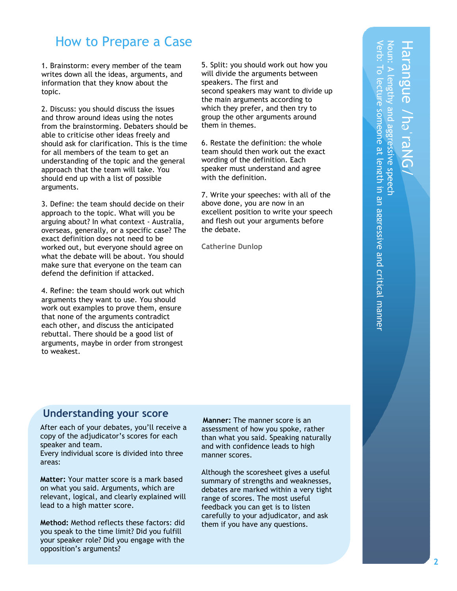## How to Prepare a Case

1. Brainstorm: every member of the team writes down all the ideas, arguments, and information that they know about the topic.

2. Discuss: you should discuss the issues and throw around ideas using the notes from the brainstorming. Debaters should be able to criticise other ideas freely and should ask for clarification. This is the time for all members of the team to get an understanding of the topic and the general approach that the team will take. You should end up with a list of possible arguments.

3. Define: the team should decide on their approach to the topic. What will you be arguing about? In what context - Australia, overseas, generally, or a specific case? The exact definition does not need to be worked out, but everyone should agree on what the debate will be about. You should make sure that everyone on the team can defend the definition if attacked.

4. Refine: the team should work out which arguments they want to use. You should work out examples to prove them, ensure that none of the arguments contradict each other, and discuss the anticipated rebuttal. There should be a good list of arguments, maybe in order from strongest to weakest.

5. Split: you should work out how you will divide the arguments between speakers. The first and second speakers may want to divide up the main arguments according to which they prefer, and then try to group the other arguments around them in themes.

6. Restate the definition: the whole team should then work out the exact wording of the definition. Each speaker must understand and agree with the definition.

7. Write your speeches: with all of the above done, you are now in an excellent position to write your speech and flesh out your arguments before the debate.

**Catherine Dunlop**

raNG/

## **Understanding your score**

**sheet** After each of your debates, you'll receive a copy of the adjudicator's scores for each speaker and team. Every individual score is divided into three areas:

**Matter:** Your matter score is a mark based on what you said. Arguments, which are relevant, logical, and clearly explained will lead to a high matter score.

**Method:** Method reflects these factors: did you speak to the time limit? Did you fulfill your speaker role? Did you engage with the opposition's arguments?

**M anner :** The manner score is an assessment of how you spoke, rather than what you said. Speaking naturally and with confidence leads to high manner scores.

Although the scoresheet gives a useful summary of strengths and weaknesses, debates are marked within a very tight range of scores. The most useful feedback you can get is to listen carefully to your adjudicator, and ask them if you have any questions.